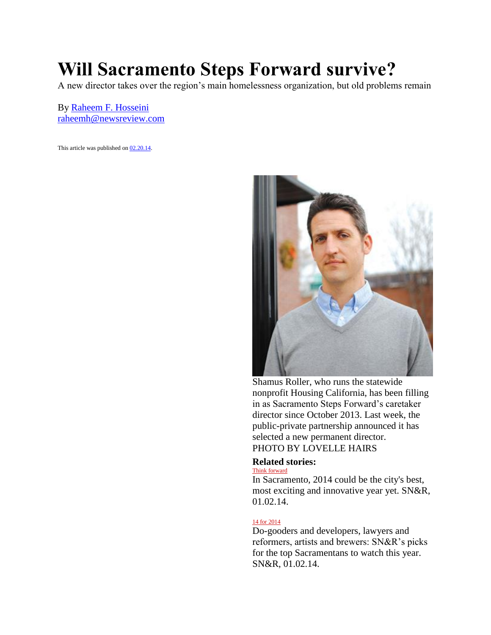## **Will Sacramento Steps Forward survive?**

A new director takes over the region's main homelessness organization, but old problems remain

By [Raheem F. Hosseini](http://www.newsreview.com/sacramento/raheem-f-hosseini/author) [raheemh@newsreview.com](http://www.newsreview.com/sacramento/Contact?content=12799142)

This article was published on [02.20.14.](http://www.newsreview.com/sacramento/2014-02-20/archive) 



Shamus Roller, who runs the statewide nonprofit Housing California, has been filling in as Sacramento Steps Forward's caretaker director since October 2013. Last week, the public-private partnership announced it has selected a new permanent director. PHOTO BY LOVELLE HAIRS

## **Related stories:**

[Think forward](http://www.newsreview.com/sacramento/content?oid=12402097) In Sacramento, 2014 could be the city's best, most exciting and innovative year yet. SN&R, 01.02.14.

## [14 for 2014](http://www.newsreview.com/sacramento/content?oid=12403071)

Do-gooders and developers, lawyers and reformers, artists and brewers: SN&R's picks for the top Sacramentans to watch this year. SN&R, 01.02.14.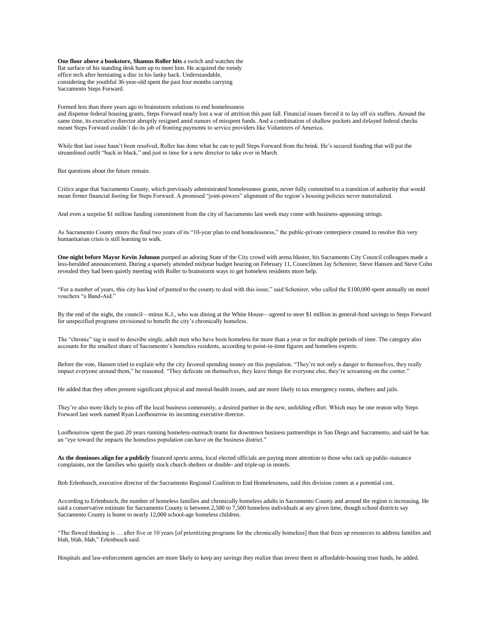**One floor above a bookstore, Shamus Roller hits** a switch and watches the flat surface of his standing desk hum up to meet him. He acquired the trendy office tech after herniating a disc in his lanky back. Understandable, considering the youthful 36-year-old spent the past four months carrying Sacramento Steps Forward.

Formed less than three years ago to brainstorm solutions to end homelessness

and dispense federal housing grants, Steps Forward nearly lost a war of attrition this past fall. Financial issues forced it to lay off six staffers. Around the same time, its executive director abruptly resigned amid rumors of misspent funds. And a combination of shallow pockets and delayed federal checks meant Steps Forward couldn't do its job of fronting payments to service providers like Volunteers of America.

While that last issue hasn't been resolved, Roller has done what he can to pull Steps Forward from the brink. He's secured funding that will put the streamlined outfit "back in black," and just in time for a new director to take over in March.

But questions about the future remain.

Critics argue that Sacramento County, which previously administrated homelessness grants, never fully committed to a transition of authority that would mean firmer financial footing for Steps Forward. A promised "joint-powers" alignment of the region's housing policies never materialized.

And even a surprise \$1 million funding commitment from the city of Sacramento last week may come with business-appeasing strings.

As Sacramento County enters the final two years of its "10-year plan to end homelessness," the public-private centerpiece created to resolve this very humanitarian crisis is still learning to walk.

**One night before Mayor Kevin Johnson** pumped an adoring State of the City crowd with arena bluster, his Sacramento City Council colleagues made a less-heralded announcement. During a sparsely attended midyear budget hearing on February 11, Councilmen Jay Schenirer, Steve Hansen and Steve Cohn revealed they had been quietly meeting with Roller to brainstorm ways to get homeless residents more help.

"For a number of years, this city has kind of punted to the county to deal with this issue," said Schenirer, who called the \$100,000 spent annually on motel vouchers "a Band-Aid."

By the end of the night, the council—minus K.J., who was dining at the White House—agreed to steer \$1 million in general-fund savings to Steps Forward for unspecified programs envisioned to benefit the city's chronically homeless.

The "chronic" tag is used to describe single, adult men who have been homeless for more than a year or for multiple periods of time. The category also accounts for the smallest share of Sacramento's homeless residents, according to point-in-time figures and homeless experts.

Before the vote, Hansen tried to explain why the city favored spending money on this population. "They're not only a danger to themselves, they really impact everyone around them," he reasoned. "They defecate on themselves, they leave things for everyone else, they're screaming on the corner."

He added that they often present significant physical and mental-health issues, and are more likely to tax emergency rooms, shelters and jails.

They're also more likely to piss off the local business community, a desired partner in the new, unfolding effort. Which may be one reason why Steps Forward last week named Ryan Loofbourrow its incoming executive director.

Loofbourrow spent the past 20 years running homeless-outreach teams for downtown business partnerships in San Diego and Sacramento, and said he has an "eye toward the impacts the homeless population can have on the business district."

**As the dominoes align for a publicly** financed sports arena, local elected officials are paying more attention to those who rack up public-nuisance complaints, not the families who quietly stock church shelters or double- and triple-up in motels.

Bob Erlenbusch, executive director of the Sacramento Regional Coalition to End Homelessness, said this division comes at a potential cost.

According to Erlenbusch, the number of homeless families and chronically homeless adults in Sacramento County and around the region is increasing. He said a conservative estimate for Sacramento County is between 2,500 to 7,500 homeless individuals at any given time, though school districts say Sacramento County is home to nearly 12,000 school-age homeless children.

"The flawed thinking is … after five or 10 years [of prioritizing programs for the chronically homeless] then that frees up resources to address families and blah, blah, blah," Erlenbusch said.

Hospitals and law-enforcement agencies are more likely to keep any savings they realize than invest them in affordable-housing trust funds, he added.